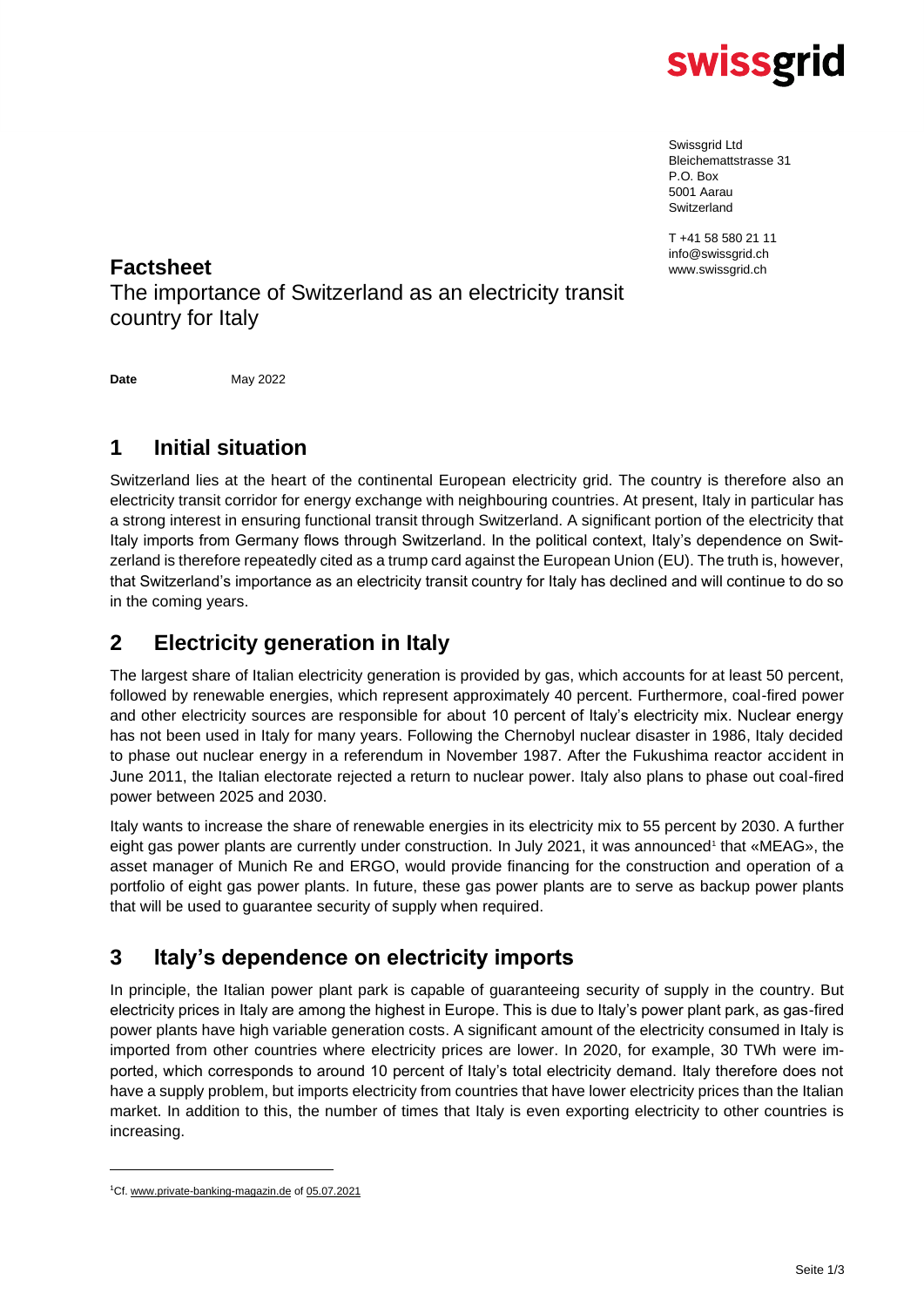

Swissgrid Ltd Bleichemattstrasse 31 P.O. Box 5001 Aarau **Switzerland** 

T +41 58 580 21 11 info@swissgrid.ch

### **Factsheet** www.swissgrid.ch

The importance of Switzerland as an electricity transit country for Italy

**Date** May 2022

### **1 Initial situation**

Switzerland lies at the heart of the continental European electricity grid. The country is therefore also an electricity transit corridor for energy exchange with neighbouring countries. At present, Italy in particular has a strong interest in ensuring functional transit through Switzerland. A significant portion of the electricity that Italy imports from Germany flows through Switzerland. In the political context, Italy's dependence on Switzerland is therefore repeatedly cited as a trump card against the European Union (EU). The truth is, however, that Switzerland's importance as an electricity transit country for Italy has declined and will continue to do so in the coming years.

### **2 Electricity generation in Italy**

The largest share of Italian electricity generation is provided by gas, which accounts for at least 50 percent, followed by renewable energies, which represent approximately 40 percent. Furthermore, coal-fired power and other electricity sources are responsible for about 10 percent of Italy's electricity mix. Nuclear energy has not been used in Italy for many years. Following the Chernobyl nuclear disaster in 1986, Italy decided to phase out nuclear energy in a referendum in November 1987. After the Fukushima reactor accident in June 2011, the Italian electorate rejected a return to nuclear power. Italy also plans to phase out coal-fired power between 2025 and 2030.

Italy wants to increase the share of renewable energies in its electricity mix to 55 percent by 2030. A further eight gas power plants are currently under construction. In July 2021, it was announced<sup>1</sup> that «MEAG», the asset manager of Munich Re and ERGO, would provide financing for the construction and operation of a portfolio of eight gas power plants. In future, these gas power plants are to serve as backup power plants that will be used to guarantee security of supply when required.

### **3 Italy's dependence on electricity imports**

In principle, the Italian power plant park is capable of guaranteeing security of supply in the country. But electricity prices in Italy are among the highest in Europe. This is due to Italy's power plant park, as gas-fired power plants have high variable generation costs. A significant amount of the electricity consumed in Italy is imported from other countries where electricity prices are lower. In 2020, for example, 30 TWh were imported, which corresponds to around 10 percent of Italy's total electricity demand. Italy therefore does not have a supply problem, but imports electricity from countries that have lower electricity prices than the Italian market. In addition to this, the number of times that Italy is even exporting electricity to other countries is increasing.

<sup>1</sup>Cf[. www.private-banking-magazin.de](http://www.private-banking-magazin.de/) of 05.07.2021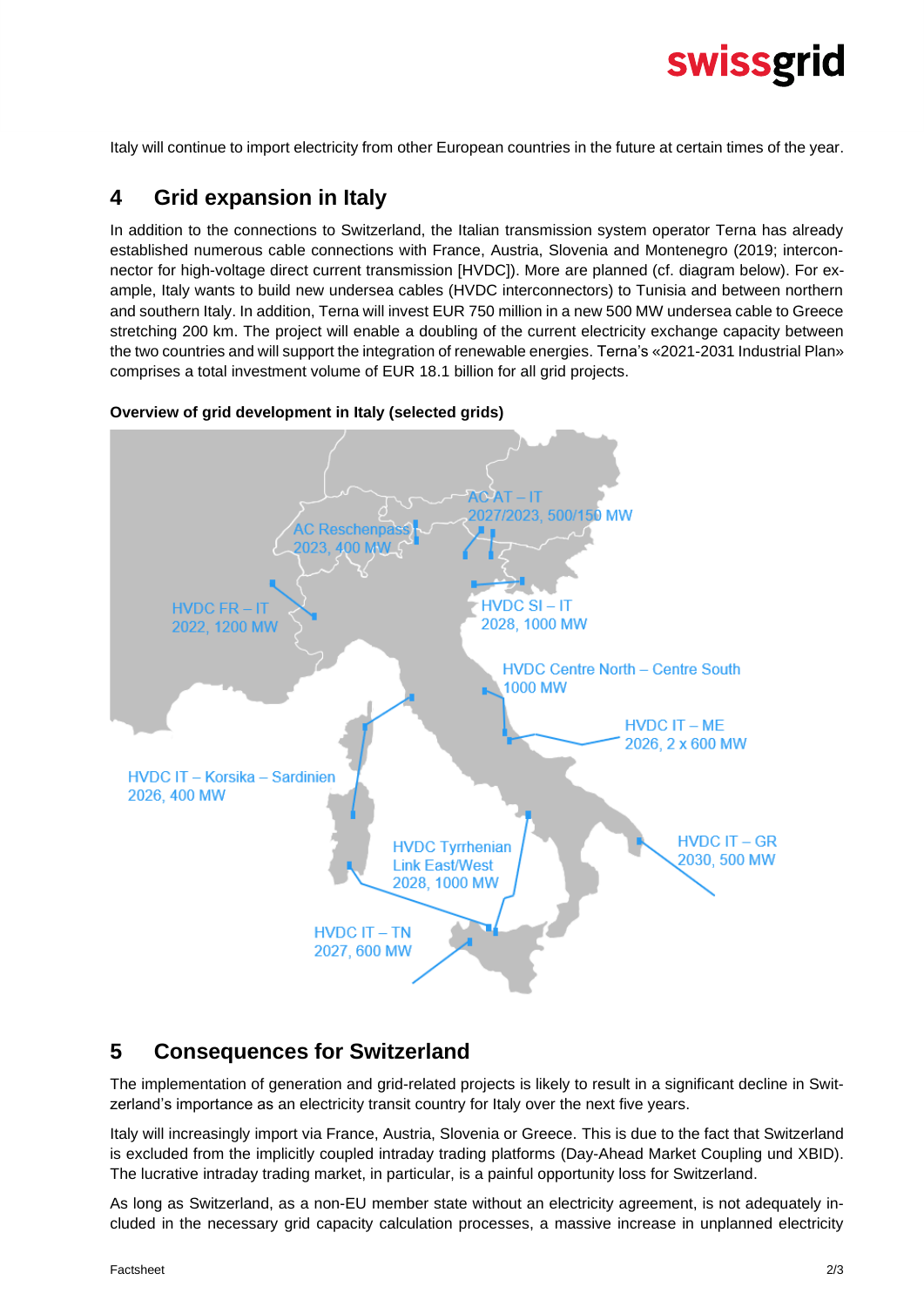# swissgrid

Italy will continue to import electricity from other European countries in the future at certain times of the year.

### **4 Grid expansion in Italy**

In addition to the connections to Switzerland, the Italian transmission system operator Terna has already established numerous cable connections with France, Austria, Slovenia and Montenegro (2019; interconnector for high-voltage direct current transmission [HVDC]). More are planned (cf. diagram below). For example, Italy wants to build new undersea cables (HVDC interconnectors) to Tunisia and between northern and southern Italy. In addition, Terna will invest EUR 750 million in a new 500 MW undersea cable to Greece stretching 200 km. The project will enable a doubling of the current electricity exchange capacity between the two countries and will support the integration of renewable energies. Terna's «2021-2031 Industrial Plan» comprises a total investment volume of EUR 18.1 billion for all grid projects.



#### **Overview of grid development in Italy (selected grids)**

### **5 Consequences for Switzerland**

The implementation of generation and grid-related projects is likely to result in a significant decline in Switzerland's importance as an electricity transit country for Italy over the next five years.

Italy will increasingly import via France, Austria, Slovenia or Greece. This is due to the fact that Switzerland is excluded from the implicitly coupled intraday trading platforms (Day-Ahead Market Coupling und XBID). The lucrative intraday trading market, in particular, is a painful opportunity loss for Switzerland.

As long as Switzerland, as a non-EU member state without an electricity agreement, is not adequately included in the necessary grid capacity calculation processes, a massive increase in unplanned electricity